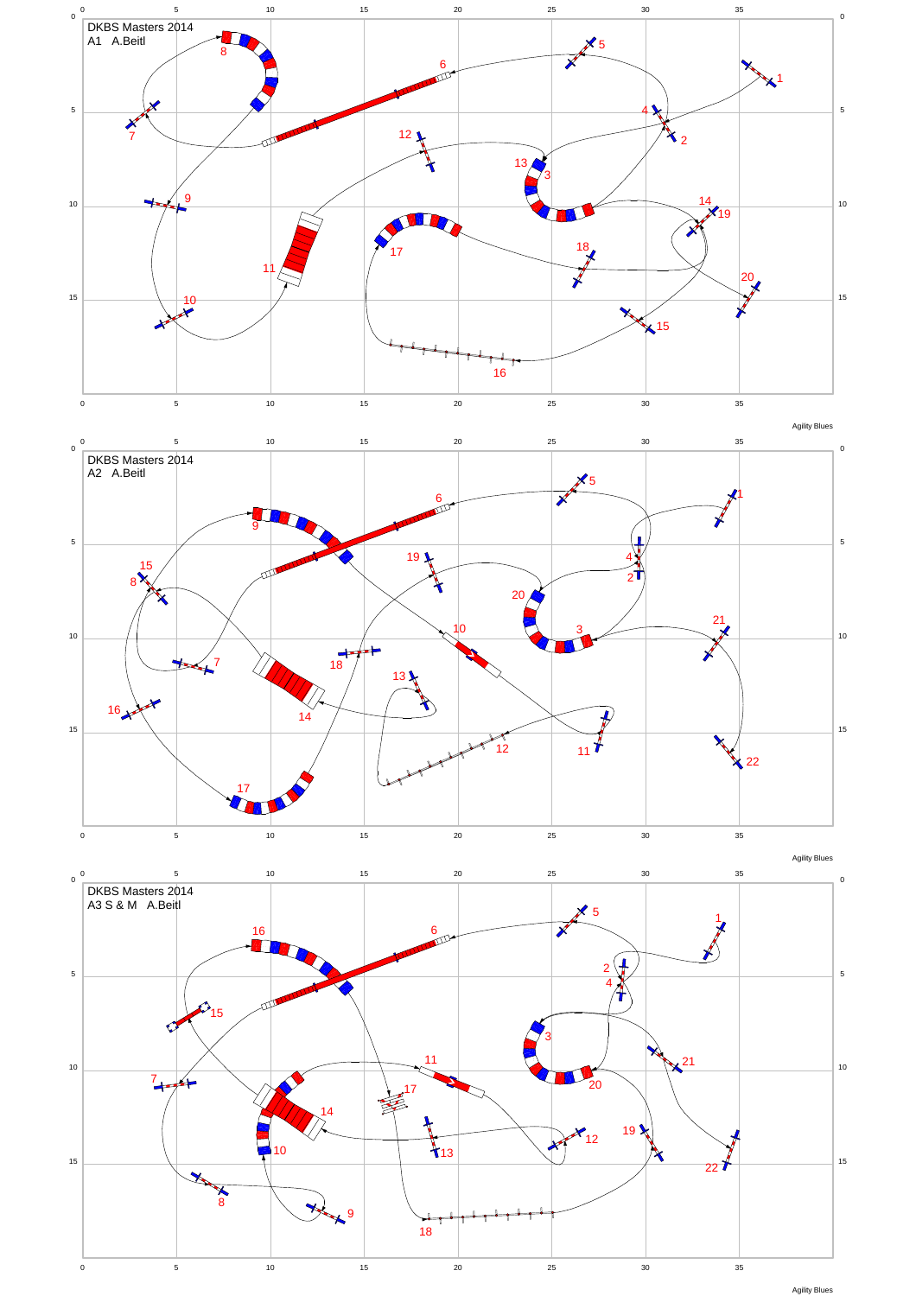

Agility Blues